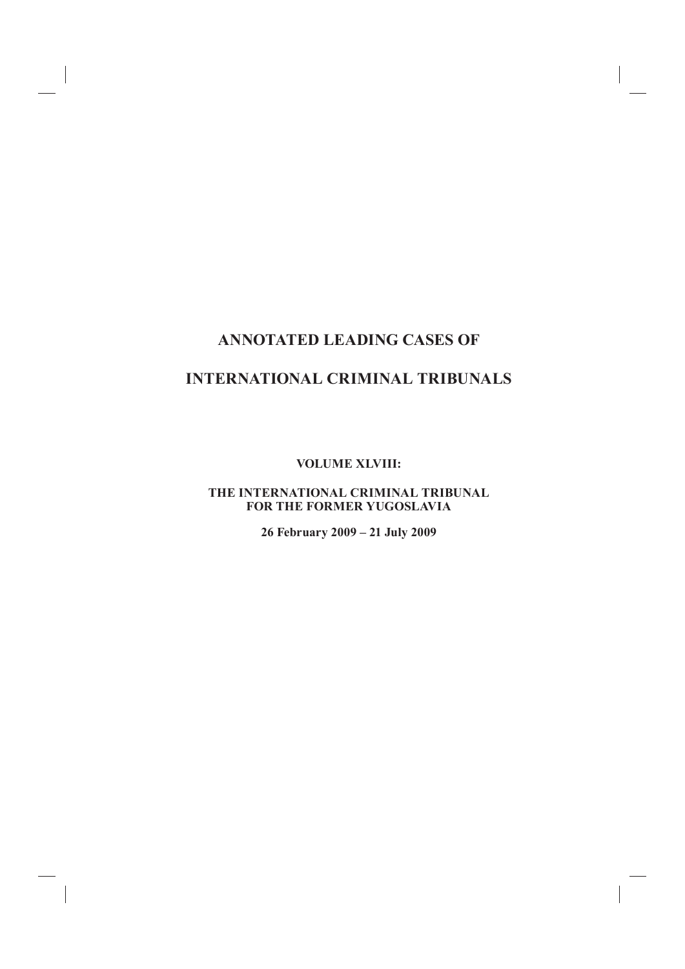# **ANNOTATED LEADING CASES OF**

#### **INTERNATIONAL CRIMINAL TRIBUNALS**

**VOLUME XLVIII:**

#### **THE INTERNATIONAL CRIMINAL TRIBUNAL FOR THE FORMER YUGOSLAVIA**

**26 February 2009 – 21 July 2009**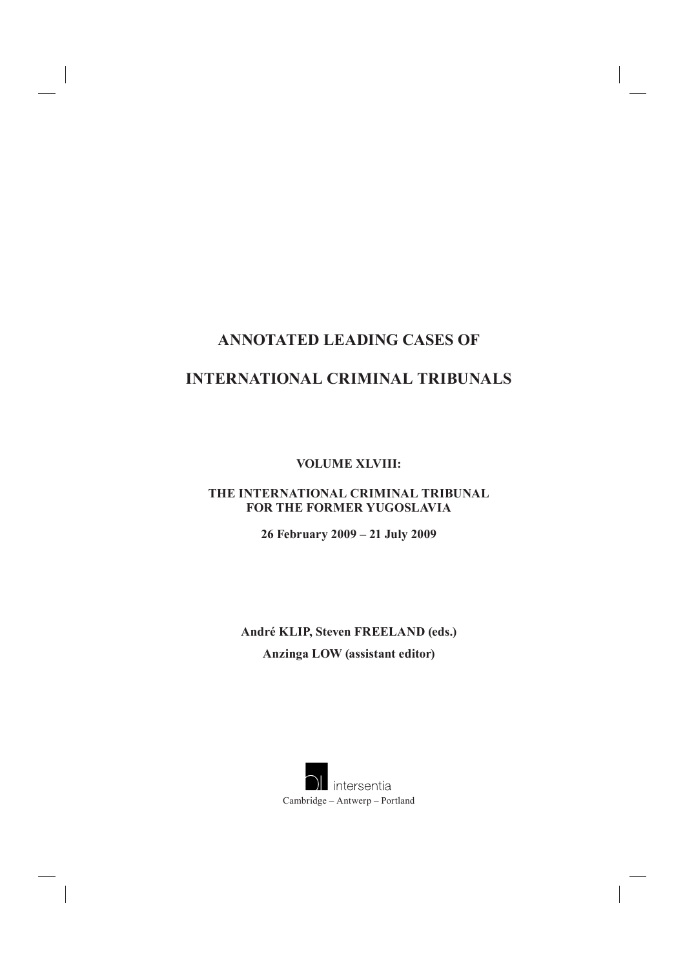## **ANNOTATED LEADING CASES OF**

## **INTERNATIONAL CRIMINAL TRIBUNALS**

**VOLUME XLVIII:**

#### **THE INTERNATIONAL CRIMINAL TRIBUNAL FOR THE FORMER YUGOSLAVIA**

**26 February 2009 – 21 July 2009**

**André KLIP, Steven FREELAND (eds.) Anzinga LOW (assistant editor)**

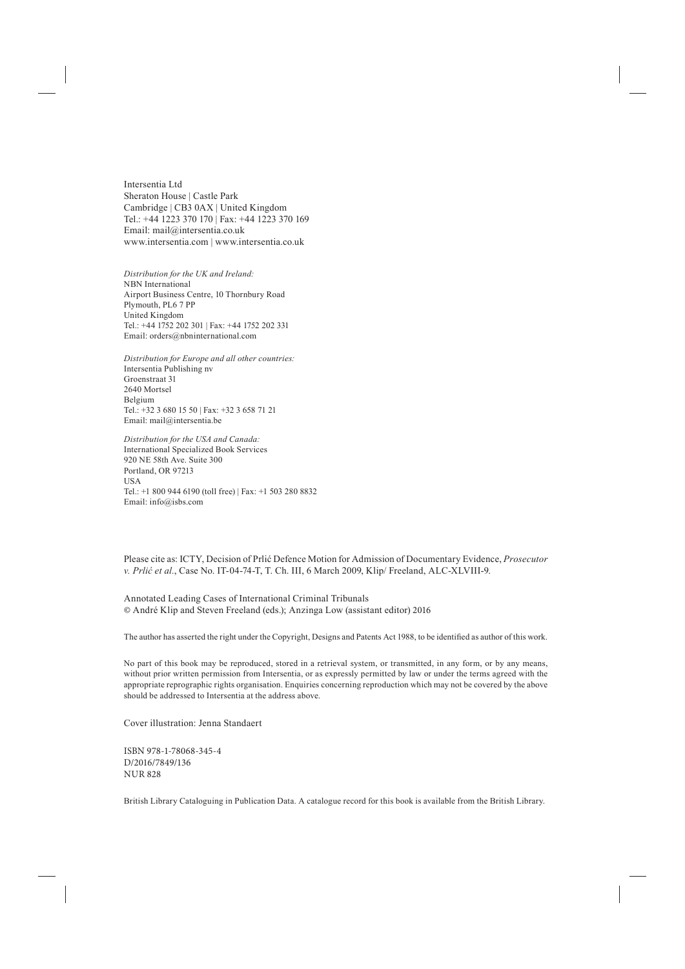Intersentia Ltd Sheraton House | Castle Park Cambridge | CB3 0AX | United Kingdom Tel.: +44 1223 370 170 | Fax: +44 1223 370 169 Email: mail@intersentia.co.uk www.intersentia.com | www.intersentia.co.uk

*Distribution for the UK and Ireland:* NBN International Airport Business Centre, 10 Thornbury Road Plymouth, PL6 7 PP United Kingdom Tel.: +44 1752 202 301 | Fax: +44 1752 202 331 Email: orders@nbninternational.com

*Distribution for Europe and all other countries:* Intersentia Publishing nv Groenstraat 31 2640 Mortsel Belgium Tel.: +32 3 680 15 50 | Fax: +32 3 658 71 21 Email: mail@intersentia.be

*Distribution for the USA and Canada:* International Specialized Book Services 920 NE 58th Ave. Suite 300 Portland, OR 97213 **USA** Tel.: +1 800 944 6190 (toll free) | Fax: +1 503 280 8832 Email: info@isbs.com

Please cite as: ICTY, Decision of Prlić Defence Motion for Admission of Documentary Evidence, *Prosecutor v. Prlić et al.*, Case No. IT-04-74-T, T. Ch. III, 6 March 2009, Klip/ Freeland, ALC-XLVIII-9.

Annotated Leading Cases of International Criminal Tribunals © André Klip and Steven Freeland (eds.); Anzinga Low (assistant editor) 2016

The author has asserted the right under the Copyright, Designs and Patents Act 1988, to be identified as author of this work.

No part of this book may be reproduced, stored in a retrieval system, or transmitted, in any form, or by any means, without prior written permission from Intersentia, or as expressly permitted by law or under the terms agreed with the appropriate reprographic rights organisation. Enquiries concerning reproduction which may not be covered by the above should be addressed to Intersentia at the address above.

Cover illustration: Jenna Standaert

ISBN 978-1-78068-345-4 D/2016/7849/136 NUR 828

British Library Cataloguing in Publication Data. A catalogue record for this book is available from the British Library.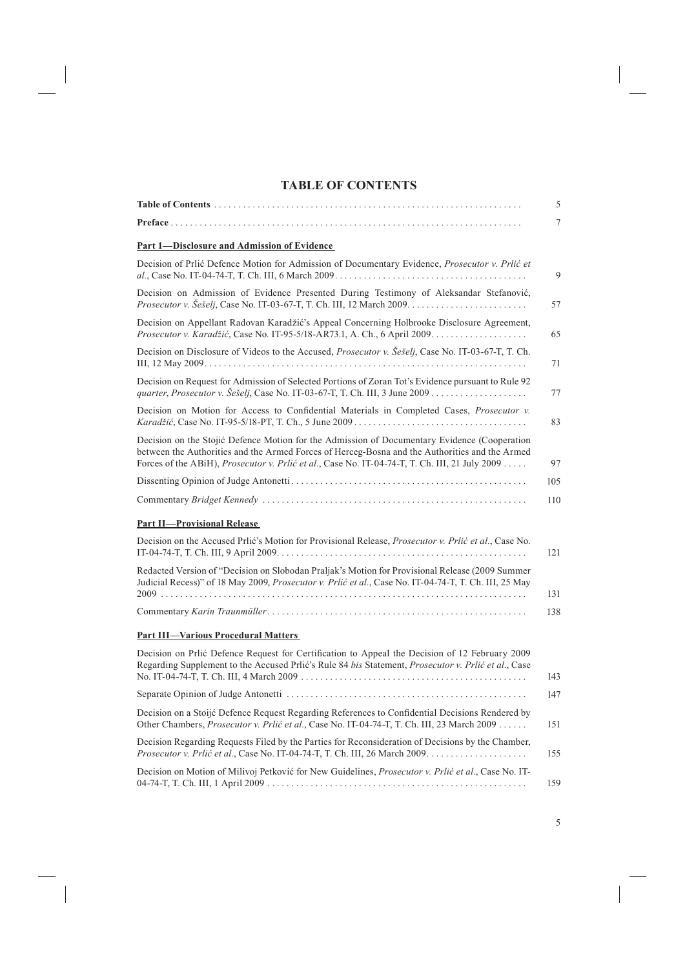#### **TABLE OF CONTENTS**

|                                                                                                                                                                                                                                                                                                          | 5   |
|----------------------------------------------------------------------------------------------------------------------------------------------------------------------------------------------------------------------------------------------------------------------------------------------------------|-----|
| Preface                                                                                                                                                                                                                                                                                                  | 7   |
| Part 1-Disclosure and Admission of Evidence                                                                                                                                                                                                                                                              |     |
| Decision of Prlić Defence Motion for Admission of Documentary Evidence, Prosecutor v. Prlić et                                                                                                                                                                                                           | 9   |
| Decision on Admission of Evidence Presented During Testimony of Aleksandar Stefanović,                                                                                                                                                                                                                   | 57  |
| Decision on Appellant Radovan Karadžić's Appeal Concerning Holbrooke Disclosure Agreement,                                                                                                                                                                                                               | 65  |
| Decision on Disclosure of Videos to the Accused, <i>Prosecutor v. Šešelj</i> , Case No. IT-03-67-T, T. Ch.                                                                                                                                                                                               | 71  |
| Decision on Request for Admission of Selected Portions of Zoran Tot's Evidence pursuant to Rule 92                                                                                                                                                                                                       | 77  |
| Decision on Motion for Access to Confidential Materials in Completed Cases, <i>Prosecutor v.</i>                                                                                                                                                                                                         | 83  |
| Decision on the Stojić Defence Motion for the Admission of Documentary Evidence (Cooperation<br>between the Authorities and the Armed Forces of Herceg-Bosna and the Authorities and the Armed<br>Forces of the ABiH), <i>Prosecutor v. Prlić et al.</i> , Case No. IT-04-74-T, T. Ch. III, 21 July 2009 | 97  |
|                                                                                                                                                                                                                                                                                                          | 105 |
|                                                                                                                                                                                                                                                                                                          | 110 |
| <b>Part II-Provisional Release</b>                                                                                                                                                                                                                                                                       |     |
| Decision on the Accused Prlić's Motion for Provisional Release, Prosecutor v. Prlić et al., Case No.                                                                                                                                                                                                     | 121 |
| Redacted Version of "Decision on Slobodan Praljak's Motion for Provisional Release (2009 Summer<br>Judicial Recess)" of 18 May 2009, Prosecutor v. Prlić et al., Case No. IT-04-74-T, T. Ch. III, 25 May                                                                                                 |     |
|                                                                                                                                                                                                                                                                                                          | 131 |
|                                                                                                                                                                                                                                                                                                          | 138 |
| <b>Part III—Various Procedural Matters</b>                                                                                                                                                                                                                                                               |     |
| Decision on Prlić Defence Request for Certification to Appeal the Decision of 12 February 2009<br>Regarding Supplement to the Accused Pric's Rule 84 bis Statement, Prosecutor v. Price et al., Case                                                                                                     | 143 |
|                                                                                                                                                                                                                                                                                                          | 147 |
| Decision on a Stoijć Defence Request Regarding References to Confidential Decisions Rendered by<br>Other Chambers, <i>Prosecutor v. Prlić et al.</i> , Case No. IT-04-74-T, T. Ch. III, 23 March 2009                                                                                                    | 151 |
| Decision Regarding Requests Filed by the Parties for Reconsideration of Decisions by the Chamber,                                                                                                                                                                                                        | 155 |
| Decision on Motion of Milivoj Petković for New Guidelines, <i>Prosecutor v. Prlić et al.</i> , Case No. IT-                                                                                                                                                                                              | 159 |